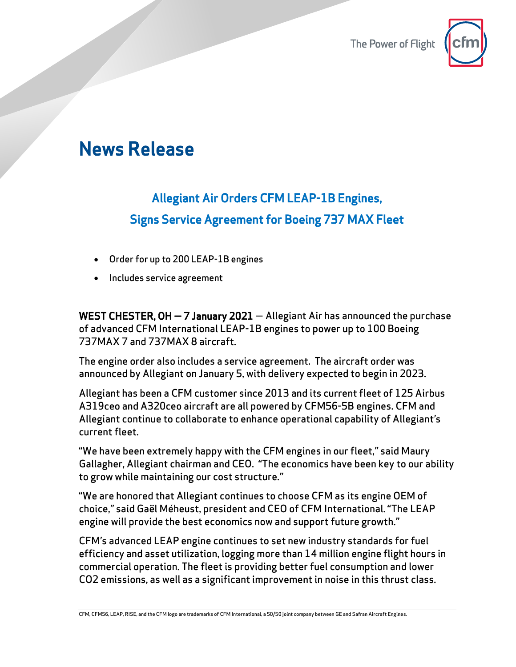The Power of Flight



## News Release

## Allegiant Air Orders CFM LEAP-1B Engines, Signs Service Agreement for Boeing 737 MAX Fleet

- Order for up to 200 LEAP-1B engines
- Includes service agreement

WEST CHESTER,  $OH - 7$  January 2021  $-$  Allegiant Air has announced the purchase of advanced CFM International LEAP-1B engines to power up to 100 Boeing 737MAX 7 and 737MAX 8 aircraft.

The engine order also includes a service agreement. The aircraft order was announced by Allegiant on January 5, with delivery expected to begin in 2023.

Allegiant has been a CFM customer since 2013 and its current fleet of 125 Airbus A319ceo and A320ceo aircraft are all powered by CFM56-5B engines. CFM and Allegiant continue to collaborate to enhance operational capability of Allegiant's current fleet.

"We have been extremely happy with the CFM engines in our fleet," said Maury Gallagher, Allegiant chairman and CEO. "The economics have been key to our ability to grow while maintaining our cost structure."

"We are honored that Allegiant continues to choose CFM as its engine OEM of choice," said Gaël Méheust, president and CEO of CFM International. "The LEAP engine will provide the best economics now and support future growth."

CFM's advanced LEAP engine continues to set new industry standards for fuel efficiency and asset utilization, logging more than 14 million engine flight hours in commercial operation. The fleet is providing better fuel consumption and lower CO2 emissions, as well as a significant improvement in noise in this thrust class.